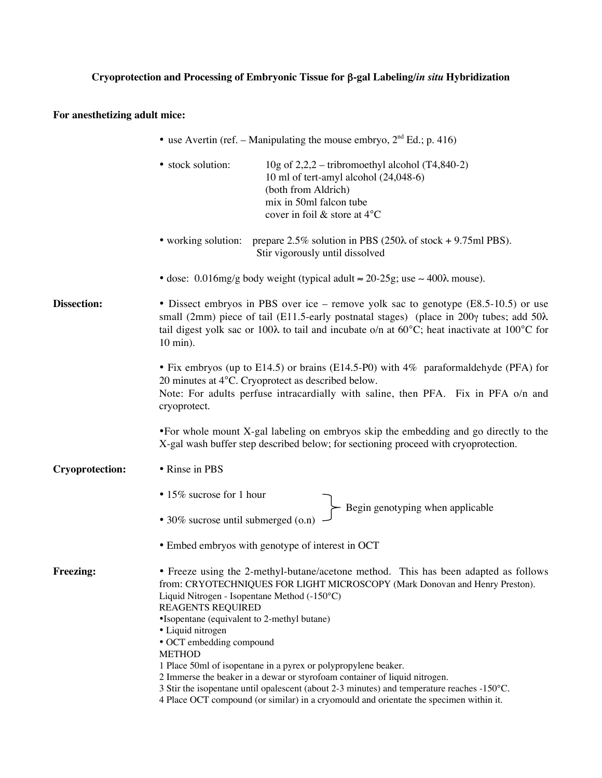## **Cryoprotection and Processing of Embryonic Tissue for** β**-gal Labeling/***in situ* **Hybridization**

## **For anesthetizing adult mice:**

|                        | • use Avertin (ref. – Manipulating the mouse embryo, $2nd Ed$ .; p. 416)                                                                                                                                                                                                                                                                                                                                                                                                                                        |
|------------------------|-----------------------------------------------------------------------------------------------------------------------------------------------------------------------------------------------------------------------------------------------------------------------------------------------------------------------------------------------------------------------------------------------------------------------------------------------------------------------------------------------------------------|
|                        | · stock solution:<br>10g of $2,2,2$ – tribromoethyl alcohol (T4,840-2)<br>10 ml of tert-amyl alcohol (24,048-6)<br>(both from Aldrich)<br>mix in 50ml falcon tube<br>cover in foil & store at 4°C                                                                                                                                                                                                                                                                                                               |
|                        | • working solution: prepare $2.5\%$ solution in PBS ( $250\lambda$ of stock + 9.75ml PBS).<br>Stir vigorously until dissolved                                                                                                                                                                                                                                                                                                                                                                                   |
|                        | • dose: 0.016mg/g body weight (typical adult $\approx 20{\text -}25$ g; use $\sim 400\lambda$ mouse).                                                                                                                                                                                                                                                                                                                                                                                                           |
| <b>Dissection:</b>     | • Dissect embryos in PBS over ice – remove yolk sac to genotype (E8.5-10.5) or use<br>small (2mm) piece of tail (E11.5-early postnatal stages) (place in 200 $\gamma$ tubes; add 50 $\lambda$<br>tail digest yolk sac or 100λ to tail and incubate o/n at 60°C; heat inactivate at 100°C for<br>10 min).                                                                                                                                                                                                        |
|                        | • Fix embryos (up to E14.5) or brains (E14.5-P0) with 4% paraformaldehyde (PFA) for<br>20 minutes at 4°C. Cryoprotect as described below.<br>Note: For adults perfuse intracardially with saline, then PFA. Fix in PFA o/n and<br>cryoprotect.                                                                                                                                                                                                                                                                  |
|                        | •For whole mount X-gal labeling on embryos skip the embedding and go directly to the<br>X-gal wash buffer step described below; for sectioning proceed with cryoprotection.                                                                                                                                                                                                                                                                                                                                     |
| <b>Cryoprotection:</b> | • Rinse in PBS                                                                                                                                                                                                                                                                                                                                                                                                                                                                                                  |
|                        | • 15% sucrose for 1 hour<br>Begin genotyping when applicable<br>• 30% sucrose until submerged (o.n)                                                                                                                                                                                                                                                                                                                                                                                                             |
|                        | • Embed embryos with genotype of interest in OCT                                                                                                                                                                                                                                                                                                                                                                                                                                                                |
| <b>Freezing:</b>       | • Freeze using the 2-methyl-butane/acetone method. This has been adapted as follows<br>from: CRYOTECHNIQUES FOR LIGHT MICROSCOPY (Mark Donovan and Henry Preston).<br>Liquid Nitrogen - Isopentane Method (-150°C)<br><b>REAGENTS REQUIRED</b><br>•Isopentane (equivalent to 2-methyl butane)<br>· Liquid nitrogen<br>• OCT embedding compound<br><b>METHOD</b><br>1 Place 50ml of isopentane in a pyrex or polypropylene beaker.<br>2 Immerse the beaker in a dewar or styrofoam container of liquid nitrogen. |
|                        | 3 Stir the isopentane until opalescent (about 2-3 minutes) and temperature reaches -150°C.<br>4 Place OCT compound (or similar) in a cryomould and orientate the specimen within it.                                                                                                                                                                                                                                                                                                                            |